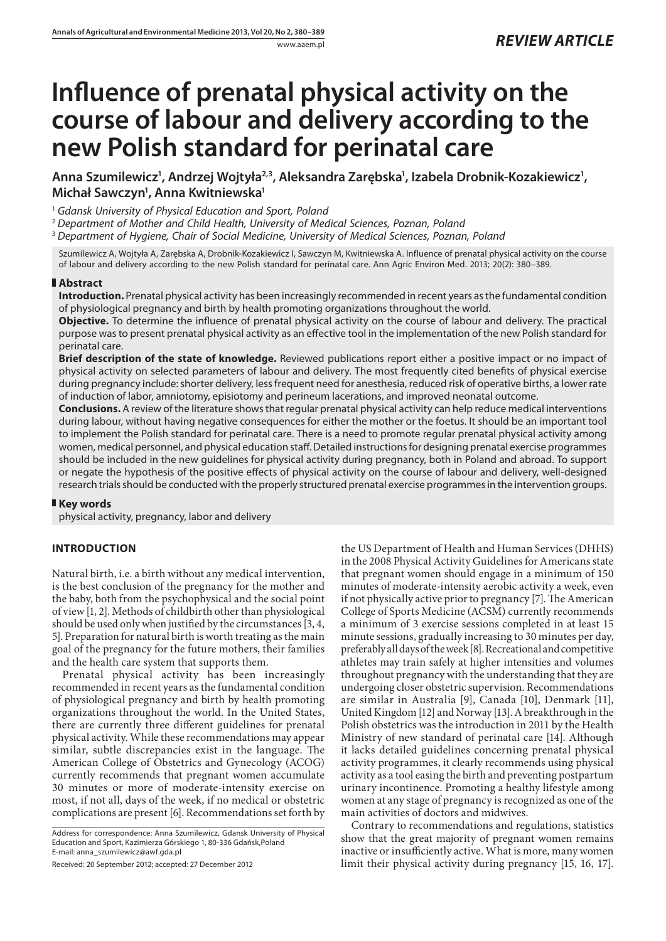# **Influence of prenatal physical activity on the course of labour and delivery according to the new Polish standard for perinatal care**

Anna Szumilewicz<sup>1</sup>, Andrzej Wojtyła<sup>2,3</sup>, Aleksandra Zarębska<sup>1</sup>, Izabela Drobnik-Kozakiewicz<sup>1</sup>, **Michał Sawczyn1 , Anna Kwitniewska1**

<sup>1</sup> *Gdansk University of Physical Education and Sport, Poland*

<sup>2</sup> *Department of Mother and Child Health, University of Medical Sciences, Poznan, Poland*

<sup>3</sup> *Department of Hygiene, Chair of Social Medicine, University of Medical Sciences, Poznan, Poland*

Szumilewicz A, Wojtyła A, Zarębska A, Drobnik-Kozakiewicz I, Sawczyn M, Kwitniewska A. Influence of prenatal physical activity on the course of labour and delivery according to the new Polish standard for perinatal care. Ann Agric Environ Med. 2013; 20(2): 380–389.

### **Abstract**

**Introduction.** Prenatal physical activity has been increasingly recommended in recent years as the fundamental condition of physiological pregnancy and birth by health promoting organizations throughout the world.

**Objective.** To determine the influence of prenatal physical activity on the course of labour and delivery. The practical purpose was to present prenatal physical activity as an effective tool in the implementation of the new Polish standard for perinatal care.

**Brief description of the state of knowledge.** Reviewed publications report either a positive impact or no impact of physical activity on selected parameters of labour and delivery. The most frequently cited benefits of physical exercise during pregnancy include: shorter delivery, less frequent need for anesthesia, reduced risk of operative births, a lower rate of induction of labor, amniotomy, episiotomy and perineum lacerations, and improved neonatal outcome.

**Conclusions.** A review of the literature shows that regular prenatal physical activity can help reduce medical interventions during labour, without having negative consequences for either the mother or the foetus. It should be an important tool to implement the Polish standard for perinatal care. There is a need to promote regular prenatal physical activity among women, medical personnel, and physical education staff. Detailed instructions for designing prenatal exercise programmes should be included in the new guidelines for physical activity during pregnancy, both in Poland and abroad. To support or negate the hypothesis of the positive effects of physical activity on the course of labour and delivery, well-designed research trials should be conducted with the properly structured prenatal exercise programmes in the intervention groups.

# **Key words**

physical activity, pregnancy, labor and delivery

# **INTRODUCTION**

Natural birth, i.e. a birth without any medical intervention, is the best conclusion of the pregnancy for the mother and the baby, both from the psychophysical and the social point of view [1, 2]. Methods of childbirth other than physiological should be used only when justified by the circumstances [3, 4, 5]. Preparation for natural birth is worth treating as the main goal of the pregnancy for the future mothers, their families and the health care system that supports them.

Prenatal physical activity has been increasingly recommended in recent years as the fundamental condition of physiological pregnancy and birth by health promoting organizations throughout the world. In the United States, there are currently three different guidelines for prenatal physical activity. While these recommendations may appear similar, subtle discrepancies exist in the language. The American College of Obstetrics and Gynecology (ACOG) currently recommends that pregnant women accumulate 30 minutes or more of moderate-intensity exercise on most, if not all, days of the week, if no medical or obstetric complications are present [6]. Recommendations set forth by

Address for correspondence: Anna Szumilewicz, Gdansk University of Physical Education and Sport, Kazimierza Górskiego 1, 80-336 Gdańsk,Poland E-mail: anna\_szumilewicz@awf.gda.pl

Received: 20 September 2012; accepted: 27 December 2012

the US Department of Health and Human Services (DHHS) in the 2008 Physical Activity Guidelines for Americans state that pregnant women should engage in a minimum of 150 minutes of moderate-intensity aerobic activity a week, even if not physically active prior to pregnancy [7]. The American College of Sports Medicine (ACSM) currently recommends a minimum of 3 exercise sessions completed in at least 15 minute sessions, gradually increasing to 30 minutes per day, preferably all days of the week [8]. Recreational and competitive athletes may train safely at higher intensities and volumes throughout pregnancy with the understanding that they are undergoing closer obstetric supervision. Recommendations are similar in Australia [9], Canada [10], Denmark [11], United Kingdom [12] and Norway [13]. A breakthrough in the Polish obstetrics was the introduction in 2011 by the Health Ministry of new standard of perinatal care [14]. Although it lacks detailed guidelines concerning prenatal physical activity programmes, it clearly recommends using physical activity as a tool easing the birth and preventing postpartum urinary incontinence. Promoting a healthy lifestyle among women at any stage of pregnancy is recognized as one of the main activities of doctors and midwives.

Contrary to recommendations and regulations, statistics show that the great majority of pregnant women remains inactive or insufficiently active. What is more, many women limit their physical activity during pregnancy [15, 16, 17].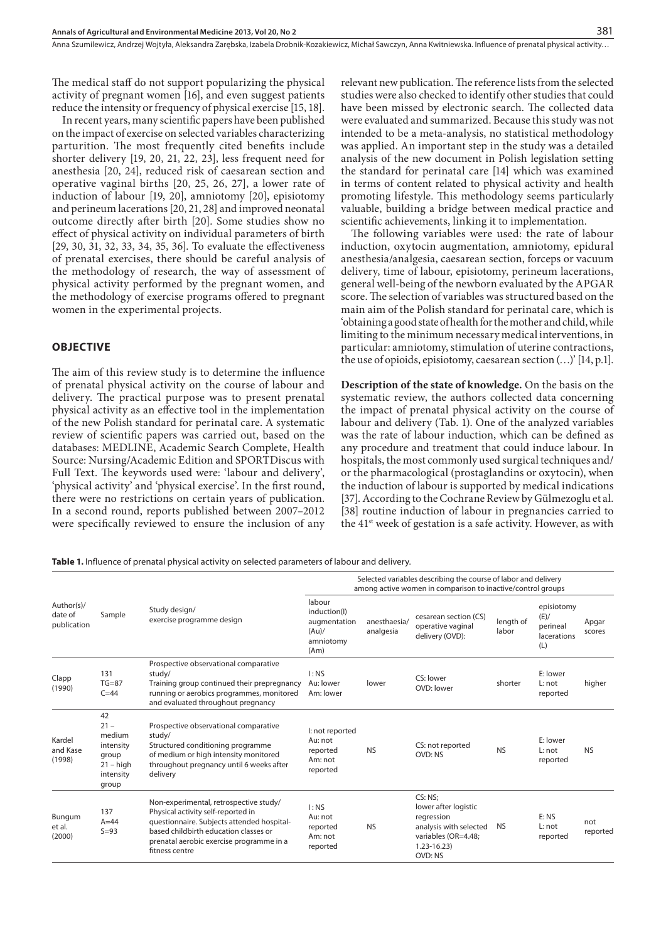The medical staff do not support popularizing the physical activity of pregnant women [16], and even suggest patients reduce the intensity or frequency of physical exercise [15, 18].

In recent years, many scientific papers have been published on the impact of exercise on selected variables characterizing parturition. The most frequently cited benefits include shorter delivery [19, 20, 21, 22, 23], less frequent need for anesthesia [20, 24], reduced risk of caesarean section and operative vaginal births [20, 25, 26, 27], a lower rate of induction of labour [19, 20], amniotomy [20], episiotomy and perineum lacerations [20, 21, 28] and improved neonatal outcome directly after birth [20]. Some studies show no effect of physical activity on individual parameters of birth [29, 30, 31, 32, 33, 34, 35, 36]. To evaluate the effectiveness of prenatal exercises, there should be careful analysis of the methodology of research, the way of assessment of physical activity performed by the pregnant women, and the methodology of exercise programs offered to pregnant women in the experimental projects.

#### **OBJECTIVE**

The aim of this review study is to determine the influence of prenatal physical activity on the course of labour and delivery. The practical purpose was to present prenatal physical activity as an effective tool in the implementation of the new Polish standard for perinatal care. A systematic review of scientific papers was carried out, based on the databases: MEDLINE, Academic Search Complete, Health Source: Nursing/Academic Edition and SPORTDiscus with Full Text. The keywords used were: 'labour and delivery', 'physical activity' and 'physical exercise'. In the first round, there were no restrictions on certain years of publication. In a second round, reports published between 2007–2012 were specifically reviewed to ensure the inclusion of any relevant new publication. The reference lists from the selected studies were also checked to identify other studies that could have been missed by electronic search. The collected data were evaluated and summarized. Because this study was not intended to be a meta-analysis, no statistical methodology was applied. An important step in the study was a detailed analysis of the new document in Polish legislation setting the standard for perinatal care [14] which was examined in terms of content related to physical activity and health promoting lifestyle. This methodology seems particularly valuable, building a bridge between medical practice and scientific achievements, linking it to implementation.

The following variables were used: the rate of labour induction, oxytocin augmentation, amniotomy, epidural anesthesia/analgesia, caesarean section, forceps or vacuum delivery, time of labour, episiotomy, perineum lacerations, general well-being of the newborn evaluated by the APGAR score. The selection of variables was structured based on the main aim of the Polish standard for perinatal care, which is 'obtaining a good state of health for the mother and child, while limiting to the minimum necessary medical interventions, in particular: amniotomy, stimulation of uterine contractions, the use of opioids, episiotomy, caesarean section (…)' [14, p.1].

**Description of the state of knowledge.** On the basis on the systematic review, the authors collected data concerning the impact of prenatal physical activity on the course of labour and delivery (Tab. 1). One of the analyzed variables was the rate of labour induction, which can be defined as any procedure and treatment that could induce labour. In hospitals, the most commonly used surgical techniques and/ or the pharmacological (prostaglandins or oxytocin), when the induction of labour is supported by medical indications [37]. According to the Cochrane Review by Gülmezoglu et al. [38] routine induction of labour in pregnancies carried to the 41st week of gestation is a safe activity. However, as with

**Table 1.** Influence of prenatal physical activity on selected parameters of labour and delivery.

| Author(s)/<br>date of<br>publication | Sample                                                                            | Study design/<br>exercise programme design                                                                                                                                                                                        | Selected variables describing the course of labor and delivery<br>among active women in comparison to inactive/control groups |                           |                                                                                                                             |                    |                                                      |                 |
|--------------------------------------|-----------------------------------------------------------------------------------|-----------------------------------------------------------------------------------------------------------------------------------------------------------------------------------------------------------------------------------|-------------------------------------------------------------------------------------------------------------------------------|---------------------------|-----------------------------------------------------------------------------------------------------------------------------|--------------------|------------------------------------------------------|-----------------|
|                                      |                                                                                   |                                                                                                                                                                                                                                   | labour<br>induction(I)<br>augmentation<br>(Au)<br>amniotomy<br>(Am)                                                           | anesthaesia/<br>analgesia | cesarean section (CS)<br>operative vaginal<br>delivery (OVD):                                                               | length of<br>labor | episiotomy<br>(E)/<br>perineal<br>lacerations<br>(L) | Apgar<br>scores |
| Clapp<br>(1990)                      | 131<br>$TG=87$<br>$C = 44$                                                        | Prospective observational comparative<br>study/<br>Training group continued their prepregnancy<br>running or aerobics programmes, monitored<br>and evaluated throughout pregnancy                                                 | I:NS<br>Au: lower<br>Am: lower                                                                                                | lower                     | CS: lower<br>OVD: lower                                                                                                     | shorter            | E: lower<br>$L: \text{not}$<br>reported              | higher          |
| Kardel<br>and Kase<br>(1998)         | 42<br>$21 -$<br>medium<br>intensity<br>group<br>$21 - high$<br>intensity<br>group | Prospective observational comparative<br>study/<br>Structured conditioning programme<br>of medium or high intensity monitored<br>throughout pregnancy until 6 weeks after<br>delivery                                             | I: not reported<br>Au: not<br>reported<br>Am: not<br>reported                                                                 | <b>NS</b>                 | CS: not reported<br>OVD: NS                                                                                                 | <b>NS</b>          | E: lower<br>$L:$ not<br>reported                     | <b>NS</b>       |
| Bungum<br>et al.<br>(2000)           | 137<br>$A=44$<br>$S = 93$                                                         | Non-experimental, retrospective study/<br>Physical activity self-reported in<br>questionnaire. Subjects attended hospital-<br>based childbirth education classes or<br>prenatal aerobic exercise programme in a<br>fitness centre | I:NS<br>Au: not<br>reported<br>Am: not<br>reported                                                                            | <b>NS</b>                 | CS: NS:<br>lower after logistic<br>regression<br>analysis with selected<br>variables (OR=4.48:<br>$1.23 - 16.23$<br>OVD: NS | <b>NS</b>          | E: NS<br>$L:$ not<br>reported                        | not<br>reported |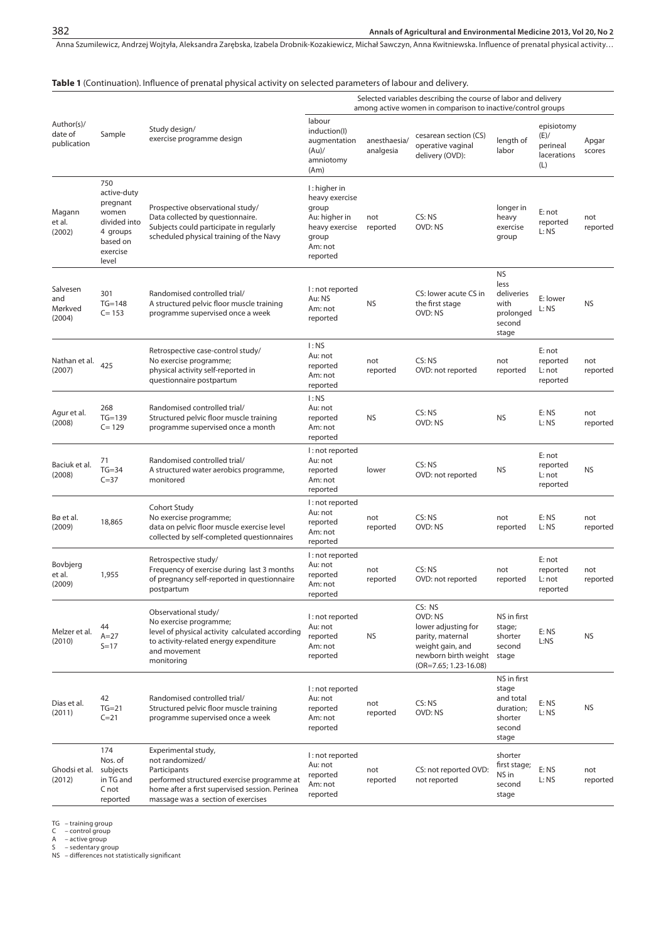Anna Szumilewicz, Andrzej Wojtyła, Aleksandra Zarębska, Izabela Drobnik-Kozakiewicz, Michał Sawczyn, Anna Kwitniewska . Influence of prenatal physical activity…

#### **Table 1** (Continuation). Influence of prenatal physical activity on selected parameters of labour and delivery.

| Author(s)/<br>date of<br>publication | Sample                                                                                               | Study design/<br>exercise programme design                                                                                                                                                   | Selected variables describing the course of labor and delivery<br>among active women in comparison to inactive/control groups |                           |                                                                                                                                     |                                                                              |                                                      |                 |
|--------------------------------------|------------------------------------------------------------------------------------------------------|----------------------------------------------------------------------------------------------------------------------------------------------------------------------------------------------|-------------------------------------------------------------------------------------------------------------------------------|---------------------------|-------------------------------------------------------------------------------------------------------------------------------------|------------------------------------------------------------------------------|------------------------------------------------------|-----------------|
|                                      |                                                                                                      |                                                                                                                                                                                              | labour<br>induction(I)<br>augmentation<br>(Au)<br>amniotomy<br>(Am)                                                           | anesthaesia/<br>analgesia | cesarean section (CS)<br>operative vaginal<br>delivery (OVD):                                                                       | length of<br>labor                                                           | episiotomy<br>(E)/<br>perineal<br>lacerations<br>(L) | Apgar<br>scores |
| Magann<br>et al.<br>(2002)           | 750<br>active-duty<br>pregnant<br>women<br>divided into<br>4 groups<br>based on<br>exercise<br>level | Prospective observational study/<br>Data collected by questionnaire.<br>Subjects could participate in regularly<br>scheduled physical training of the Navy                                   | I: higher in<br>heavy exercise<br>group<br>Au: higher in<br>heavy exercise<br>group<br>Am: not<br>reported                    | not<br>reported           | CS: NS<br>OVD: NS                                                                                                                   | longer in<br>heavy<br>exercise<br>group                                      | E: not<br>reported<br>L: NS                          | not<br>reported |
| Salvesen<br>and<br>Mørkved<br>(2004) | 301<br>$TG=148$<br>$C = 153$                                                                         | Randomised controlled trial/<br>A structured pelvic floor muscle training<br>programme supervised once a week                                                                                | I: not reported<br>Au: NS<br>Am: not<br>reported                                                                              | <b>NS</b>                 | CS: lower acute CS in<br>the first stage<br>OVD: NS                                                                                 | <b>NS</b><br>less<br>deliveries<br>with<br>prolonged<br>second<br>stage      | E: lower<br>L: NS                                    | <b>NS</b>       |
| Nathan et al.<br>(2007)              | 425                                                                                                  | Retrospective case-control study/<br>No exercise programme;<br>physical activity self-reported in<br>questionnaire postpartum                                                                | I:NS<br>Au: not<br>reported<br>Am: not<br>reported                                                                            | not<br>reported           | CS: NS<br>OVD: not reported                                                                                                         | not<br>reported                                                              | E: not<br>reported<br>L: not<br>reported             | not<br>reported |
| Agur et al.<br>(2008)                | 268<br>$TG=139$<br>$C = 129$                                                                         | Randomised controlled trial/<br>Structured pelvic floor muscle training<br>programme supervised once a month                                                                                 | I:NS<br>Au: not<br>reported<br>Am: not<br>reported                                                                            | <b>NS</b>                 | CS: NS<br>OVD: NS                                                                                                                   | <b>NS</b>                                                                    | E: NS<br>L: NS                                       | not<br>reported |
| Baciuk et al.<br>(2008)              | 71<br>$TG = 34$<br>$C = 37$                                                                          | Randomised controlled trial/<br>A structured water aerobics programme,<br>monitored                                                                                                          | I: not reported<br>Au: not<br>reported<br>Am: not<br>reported                                                                 | lower                     | CS: NS<br>OVD: not reported                                                                                                         | <b>NS</b>                                                                    | E: not<br>reported<br>L: not<br>reported             | <b>NS</b>       |
| Bø et al.<br>(2009)                  | 18,865                                                                                               | Cohort Study<br>No exercise programme;<br>data on pelvic floor muscle exercise level<br>collected by self-completed questionnaires                                                           | I: not reported<br>Au: not<br>reported<br>Am: not<br>reported                                                                 | not<br>reported           | CS:NS<br>OVD: NS                                                                                                                    | not<br>reported                                                              | E: NS<br>L: NS                                       | not<br>reported |
| Bovbjerg<br>et al.<br>(2009)         | 1,955                                                                                                | Retrospective study/<br>Frequency of exercise during last 3 months<br>of pregnancy self-reported in questionnaire<br>postpartum                                                              | I: not reported<br>Au: not<br>reported<br>Am: not<br>reported                                                                 | not<br>reported           | CS: NS<br>OVD: not reported                                                                                                         | not<br>reported                                                              | E: not<br>reported<br>L: not<br>reported             | not<br>reported |
| Melzer et al.<br>(2010)              | 44<br>$A=27$<br>$S = 17$                                                                             | Observational study/<br>No exercise programme;<br>level of physical activity calculated according<br>to activity-related energy expenditure<br>and movement<br>monitoring                    | I: not reported<br>Au: not<br>reported<br>Am: not<br>reported                                                                 | <b>NS</b>                 | CS: NS<br>OVD: NS<br>lower adjusting for<br>parity, maternal<br>weight gain, and<br>newborn birth weight<br>$(OR=7.65; 1.23-16.08)$ | NS in first<br>stage;<br>shorter<br>second<br>stage                          | E: NS<br>L:NS                                        | <b>NS</b>       |
| Dias et al.<br>(2011)                | 42<br>$TG=21$<br>$C = 21$                                                                            | Randomised controlled trial/<br>Structured pelvic floor muscle training<br>programme supervised once a week                                                                                  | I: not reported<br>Au: not<br>reported<br>Am: not<br>reported                                                                 | not<br>reported           | CS: NS<br>OVD: NS                                                                                                                   | NS in first<br>stage<br>and total<br>duration;<br>shorter<br>second<br>stage | E: NS<br>L: NS                                       | <b>NS</b>       |
| Ghodsi et al.<br>(2012)              | 174<br>Nos. of<br>subjects<br>in TG and<br>C not<br>reported                                         | Experimental study,<br>not randomized/<br>Participants<br>performed structured exercise programme at<br>home after a first supervised session. Perinea<br>massage was a section of exercises | I: not reported<br>Au: not<br>reported<br>Am: not<br>reported                                                                 | not<br>reported           | CS: not reported OVD:<br>not reported                                                                                               | shorter<br>first stage;<br>NS in<br>second<br>stage                          | E: NS<br>L: NS                                       | not<br>reported |

TG – training group C – control group A – active group S – sedentary group NS – differences not statistically significant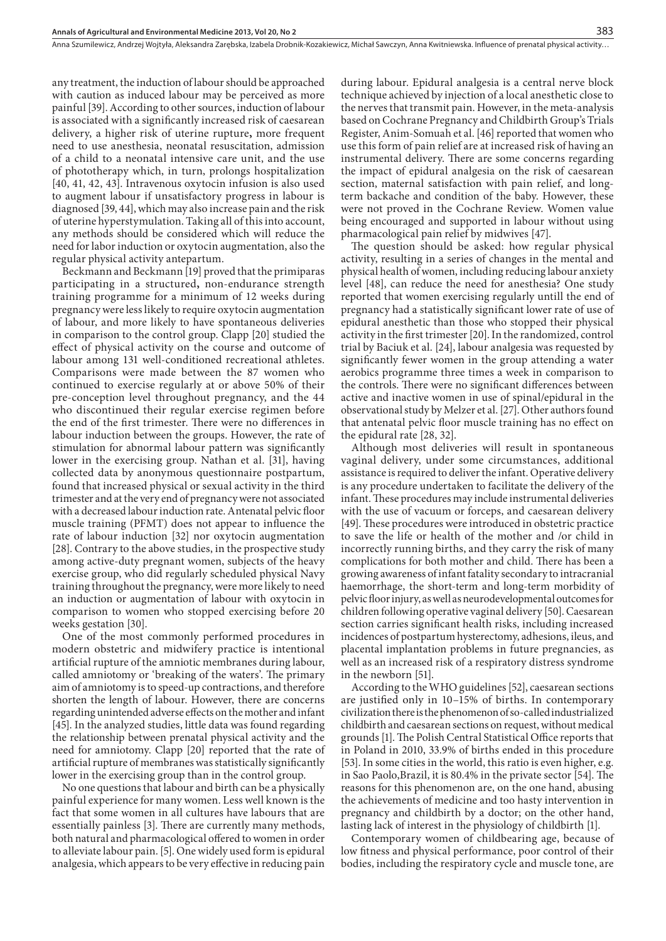any treatment, the induction of labour should be approached with caution as induced labour may be perceived as more painful [39]. According to other sources, induction of labour is associated with a significantly increased risk of caesarean delivery, a higher risk of uterine rupture**,** more frequent need to use anesthesia, neonatal resuscitation, admission of a child to a neonatal intensive care unit, and the use of phototherapy which, in turn, prolongs hospitalization [40, 41, 42, 43]. Intravenous oxytocin infusion is also used to augment labour if unsatisfactory progress in labour is diagnosed [39, 44], which may also increase pain and the risk of uterine hyperstymulation. Taking all of this into account, any methods should be considered which will reduce the need for labor induction or oxytocin augmentation, also the regular physical activity antepartum.

Beckmann and Beckmann [19] proved that the primiparas participating in a structured**,** non-endurance strength training programme for a minimum of 12 weeks during pregnancy were less likely to require oxytocin augmentation of labour, and more likely to have spontaneous deliveries in comparison to the control group. Clapp [20] studied the effect of physical activity on the course and outcome of labour among 131 well-conditioned recreational athletes. Comparisons were made between the 87 women who continued to exercise regularly at or above 50% of their pre-conception level throughout pregnancy, and the 44 who discontinued their regular exercise regimen before the end of the first trimester. There were no differences in labour induction between the groups. However, the rate of stimulation for abnormal labour pattern was significantly lower in the exercising group. Nathan et al. [31], having collected data by anonymous questionnaire postpartum, found that increased physical or sexual activity in the third trimester and at the very end of pregnancy were not associated with a decreased labour induction rate. Antenatal pelvic floor muscle training (PFMT) does not appear to influence the rate of labour induction [32] nor oxytocin augmentation [28]. Contrary to the above studies, in the prospective study among active‐duty pregnant women, subjects of the heavy exercise group, who did regularly scheduled physical Navy training throughout the pregnancy, were more likely to need an induction or augmentation of labour with oxytocin in comparison to women who stopped exercising before 20 weeks gestation [30].

One of the most commonly performed procedures in modern obstetric and midwifery practice is intentional artificial rupture of the amniotic membranes during labour, called amniotomy or 'breaking of the waters'. The primary aim of amniotomy is to speed-up contractions, and therefore shorten the length of labour. However, there are concerns regarding unintended adverse effects on the mother and infant [45]. In the analyzed studies, little data was found regarding the relationship between prenatal physical activity and the need for amniotomy. Clapp [20] reported that the rate of artificial rupture of membranes was statistically significantly lower in the exercising group than in the control group.

No one questions that labour and birth can be a physically painful experience for many women. Less well known is the fact that some women in all cultures have labours that are essentially painless [3]. There are currently many methods, both natural and pharmacological offered to women in order to alleviate labour pain. [5]. One widely used form is epidural analgesia, which appears to be very effective in reducing pain

during labour. Epidural analgesia is a central nerve block technique achieved by injection of a local anesthetic close to the nerves that transmit pain. However, in the meta-analysis based on Cochrane Pregnancy and Childbirth Group's Trials Register, Anim-Somuah et al. [46] reported that women who use this form of pain relief are at increased risk of having an instrumental delivery. There are some concerns regarding the impact of epidural analgesia on the risk of caesarean section, maternal satisfaction with pain relief, and longterm backache and condition of the baby. However, these were not proved in the Cochrane Review. Women value being encouraged and supported in labour without using pharmacological pain relief by midwives [47].

383

The question should be asked: how regular physical activity, resulting in a series of changes in the mental and physical health of women, including reducing labour anxiety level [48], can reduce the need for anesthesia? One study reported that women exercising regularly untill the end of pregnancy had a statistically significant lower rate of use of epidural anesthetic than those who stopped their physical activity in the first trimester [20]. In the randomized, control trial by Baciuk et al. [24], labour analgesia was requested by significantly fewer women in the group attending a water aerobics programme three times a week in comparison to the controls. There were no significant differences between active and inactive women in use of spinal/epidural in the observational study by Melzer et al. [27]. Other authors found that antenatal pelvic floor muscle training has no effect on the epidural rate [28, 32].

Although most deliveries will result in spontaneous vaginal delivery, under some circumstances, additional assistance is required to deliver the infant. Operative delivery is any procedure undertaken to facilitate the delivery of the infant. These procedures may include instrumental deliveries with the use of vacuum or forceps, and caesarean delivery [49]. These procedures were introduced in obstetric practice to save the life or health of the mother and /or child in incorrectly running births, and they carry the risk of many complications for both mother and child. There has been a growing awareness of infant fatality secondary to intracranial haemorrhage, the short-term and long-term morbidity of pelvic floor injury, as well as neurodevelopmental outcomes for children following operative vaginal delivery [50]. Caesarean section carries significant health risks, including increased incidences of postpartum hysterectomy, adhesions, ileus, and placental implantation problems in future pregnancies, as well as an increased risk of a respiratory distress syndrome in the newborn [51].

According to the WHO guidelines [52], caesarean sections are justified only in 10–15% of births. In contemporary civilization there is the phenomenon of so-called industrialized childbirth and caesarean sections on request, without medical grounds [1]. The Polish Central Statistical Office reports that in Poland in 2010, 33.9% of births ended in this procedure [53]. In some cities in the world, this ratio is even higher, e.g. in Sao Paolo,Brazil, it is 80.4% in the private sector [54]. The reasons for this phenomenon are, on the one hand, abusing the achievements of medicine and too hasty intervention in pregnancy and childbirth by a doctor; on the other hand, lasting lack of interest in the physiology of childbirth [1].

Contemporary women of childbearing age, because of low fitness and physical performance, poor control of their bodies, including the respiratory cycle and muscle tone, are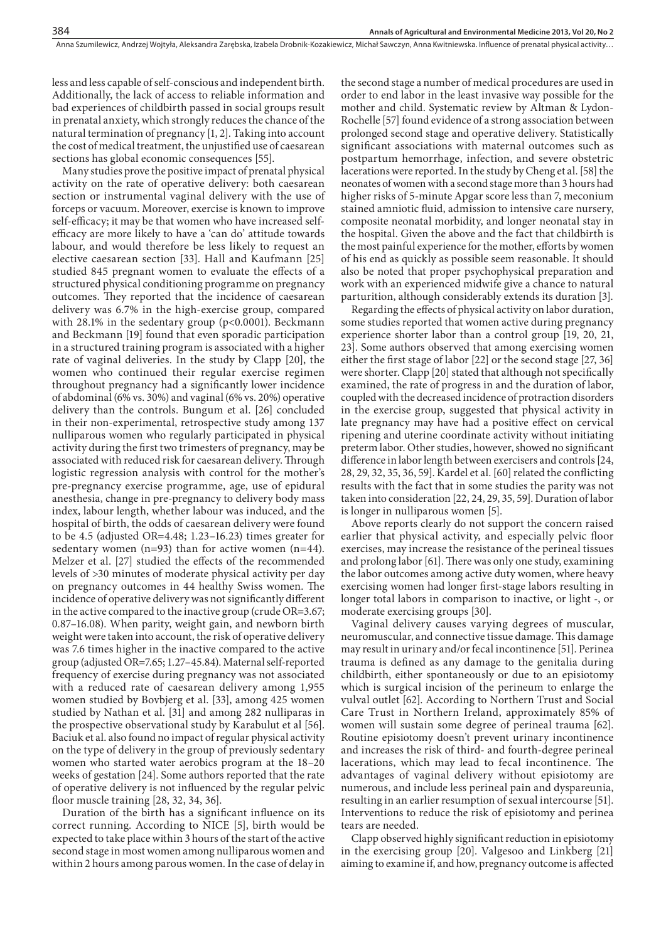less and less capable of self-conscious and independent birth. Additionally, the lack of access to reliable information and bad experiences of childbirth passed in social groups result in prenatal anxiety, which strongly reduces the chance of the natural termination of pregnancy [1, 2]. Taking into account the cost of medical treatment, the unjustified use of caesarean sections has global economic consequences [55].

384

Many studies prove the positive impact of prenatal physical activity on the rate of operative delivery: both caesarean section or instrumental vaginal delivery with the use of forceps or vacuum. Moreover, exercise is known to improve self-efficacy; it may be that women who have increased selfefficacy are more likely to have a 'can do' attitude towards labour, and would therefore be less likely to request an elective caesarean section [33]. Hall and Kaufmann [25] studied 845 pregnant women to evaluate the effects of a structured physical conditioning programme on pregnancy outcomes. They reported that the incidence of caesarean delivery was 6.7% in the high-exercise group, compared with 28.1% in the sedentary group (p<0.0001). Beckmann and Beckmann [19] found that even sporadic participation in a structured training program is associated with a higher rate of vaginal deliveries. In the study by Clapp [20], the women who continued their regular exercise regimen throughout pregnancy had a significantly lower incidence of abdominal (6% vs. 30%) and vaginal (6% vs. 20%) operative delivery than the controls. Bungum et al. [26] concluded in their non-experimental, retrospective study among 137 nulliparous women who regularly participated in physical activity during the first two trimesters of pregnancy, may be associated with reduced risk for caesarean delivery. Through logistic regression analysis with control for the mother's pre-pregnancy exercise programme, age, use of epidural anesthesia, change in pre-pregnancy to delivery body mass index, labour length, whether labour was induced, and the hospital of birth, the odds of caesarean delivery were found to be 4.5 (adjusted OR=4.48; 1.23–16.23) times greater for sedentary women (n=93) than for active women (n=44). Melzer et al. [27] studied the effects of the recommended levels of >30 minutes of moderate physical activity per day on pregnancy outcomes in 44 healthy Swiss women. The incidence of operative delivery was not significantly different in the active compared to the inactive group (crude OR=3.67; 0.87–16.08). When parity, weight gain, and newborn birth weight were taken into account, the risk of operative delivery was 7.6 times higher in the inactive compared to the active group (adjusted OR=7.65; 1.27–45.84). Maternal self-reported frequency of exercise during pregnancy was not associated with a reduced rate of caesarean delivery among 1,955 women studied by Bovbjerg et al. [33], among 425 women studied by Nathan et al. [31] and among 282 nulliparas in the prospective observational study by Karabulut et al [56]. Baciuk et al. also found no impact of regular physical activity on the type of delivery in the group of previously sedentary women who started water aerobics program at the 18–20 weeks of gestation [24]. Some authors reported that the rate of operative delivery is not influenced by the regular pelvic floor muscle training [28, 32, 34, 36].

Duration of the birth has a significant influence on its correct running. According to NICE [5], birth would be expected to take place within 3 hours of the start of the active second stage in most women among nulliparous women and within 2 hours among parous women. In the case of delay in the second stage a number of medical procedures are used in order to end labor in the least invasive way possible for the mother and child. Systematic review by Altman & Lydon-Rochelle [57] found evidence of a strong association between prolonged second stage and operative delivery. Statistically significant associations with maternal outcomes such as postpartum hemorrhage, infection, and severe obstetric lacerations were reported. In the study by Cheng et al. [58] the neonates of women with a second stage more than 3 hours had higher risks of 5-minute Apgar score less than 7, meconium stained amniotic fluid, admission to intensive care nursery, composite neonatal morbidity, and longer neonatal stay in the hospital. Given the above and the fact that childbirth is the most painful experience for the mother, efforts by women of his end as quickly as possible seem reasonable. It should also be noted that proper psychophysical preparation and work with an experienced midwife give a chance to natural parturition, although considerably extends its duration [3].

Regarding the effects of physical activity on labor duration, some studies reported that women active during pregnancy experience shorter labor than a control group [19, 20, 21, 23]. Some authors observed that among exercising women either the first stage of labor [22] or the second stage [27, 36] were shorter. Clapp [20] stated that although not specifically examined, the rate of progress in and the duration of labor, coupled with the decreased incidence of protraction disorders in the exercise group, suggested that physical activity in late pregnancy may have had a positive effect on cervical ripening and uterine coordinate activity without initiating preterm labor. Other studies, however, showed no significant difference in labor length between exercisers and controls [24, 28, 29, 32, 35, 36, 59]. Kardel et al. [60] related the conflicting results with the fact that in some studies the parity was not taken into consideration [22, 24, 29, 35, 59]. Duration of labor is longer in nulliparous women [5].

Above reports clearly do not support the concern raised earlier that physical activity, and especially pelvic floor exercises, may increase the resistance of the perineal tissues and prolong labor [61]. There was only one study, examining the labor outcomes among active duty women, where heavy exercising women had longer first‐stage labors resulting in longer total labors in comparison to inactive, or light -, or moderate exercising groups [30].

Vaginal delivery causes varying degrees of muscular, neuromuscular, and connective tissue damage. This damage may result in urinary and/or fecal incontinence [51]. Perinea trauma is defined as any damage to the genitalia during childbirth, either spontaneously or due to an episiotomy which is surgical incision of the perineum to enlarge the vulval outlet [62]. According to Northern Trust and Social Care Trust in Northern Ireland, approximately 85% of women will sustain some degree of perineal trauma [62]. Routine episiotomy doesn't prevent urinary incontinence and increases the risk of third- and fourth-degree perineal lacerations, which may lead to fecal incontinence. The advantages of vaginal delivery without episiotomy are numerous, and include less perineal pain and dyspareunia, resulting in an earlier resumption of sexual intercourse [51]. Interventions to reduce the risk of episiotomy and perinea tears are needed.

Clapp observed highly significant reduction in episiotomy in the exercising group [20]. Valgesoo and Linkberg [21] aiming to examine if, and how, pregnancy outcome is affected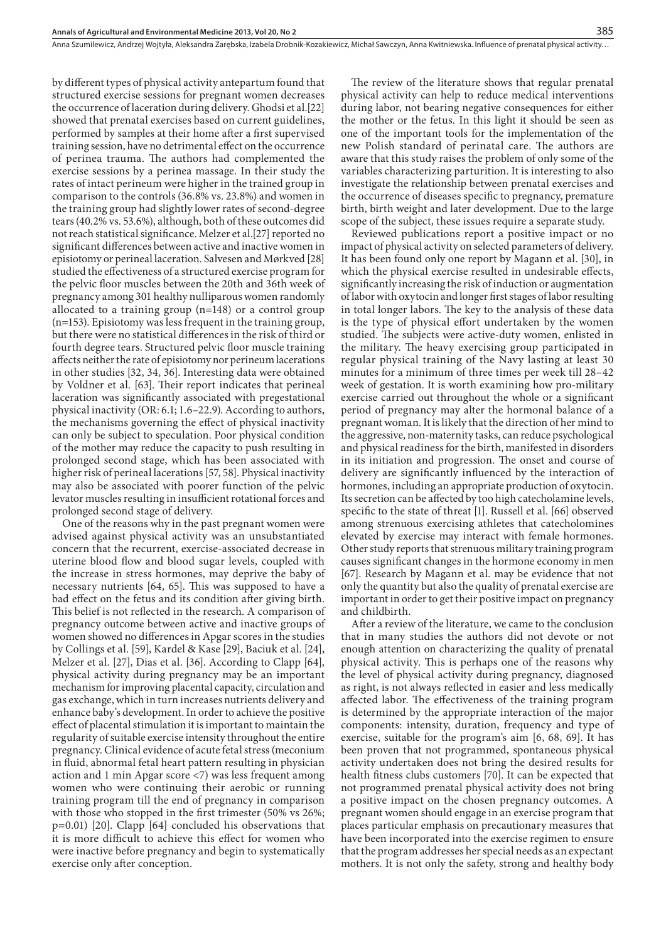by different types of physical activity antepartum found that structured exercise sessions for pregnant women decreases the occurrence of laceration during delivery. Ghodsi et al.[22] showed that prenatal exercises based on current guidelines, performed by samples at their home after a first supervised training session, have no detrimental effect on the occurrence of perinea trauma. The authors had complemented the exercise sessions by a perinea massage. In their study the rates of intact perineum were higher in the trained group in comparison to the controls (36.8% vs. 23.8%) and women in the training group had slightly lower rates of second-degree tears (40.2% vs. 53.6%), although, both of these outcomes did not reach statistical significance. Melzer et al.[27] reported no significant differences between active and inactive women in episiotomy or perineal laceration. Salvesen and Mørkved [28] studied the effectiveness of a structured exercise program for the pelvic floor muscles between the 20th and 36th week of pregnancy among 301 healthy nulliparous women randomly allocated to a training group (n=148) or a control group (n=153). Episiotomy was less frequent in the training group, but there were no statistical differences in the risk of third or fourth degree tears. Structured pelvic floor muscle training affects neither the rate of episiotomy nor perineum lacerations in other studies [32, 34, 36]. Interesting data were obtained by Voldner et al. [63]. Their report indicates that perineal laceration was significantly associated with pregestational physical inactivity (OR: 6.1; 1.6–22.9). According to authors, the mechanisms governing the effect of physical inactivity can only be subject to speculation. Poor physical condition of the mother may reduce the capacity to push resulting in prolonged second stage, which has been associated with higher risk of perineal lacerations [57, 58]. Physical inactivity may also be associated with poorer function of the pelvic levator muscles resulting in insufficient rotational forces and prolonged second stage of delivery.

One of the reasons why in the past pregnant women were advised against physical activity was an unsubstantiated concern that the recurrent, exercise-associated decrease in uterine blood flow and blood sugar levels, coupled with the increase in stress hormones, may deprive the baby of necessary nutrients [64, 65]. This was supposed to have a bad effect on the fetus and its condition after giving birth. This belief is not reflected in the research. A comparison of pregnancy outcome between active and inactive groups of women showed no differences in Apgar scores in the studies by Collings et al. [59], Kardel & Kase [29], Baciuk et al. [24], Melzer et al. [27], Dias et al. [36]. According to Clapp [64], physical activity during pregnancy may be an important mechanism for improving placental capacity, circulation and gas exchange, which in turn increases nutrients delivery and enhance baby's development. In order to achieve the positive effect of placental stimulation it is important to maintain the regularity of suitable exercise intensity throughout the entire pregnancy. Clinical evidence of acute fetal stress (meconium in fluid, abnormal fetal heart pattern resulting in physician action and 1 min Apgar score <7) was less frequent among women who were continuing their aerobic or running training program till the end of pregnancy in comparison with those who stopped in the first trimester (50% vs 26%; p=0.01) [20]. Clapp [64] concluded his observations that it is more difficult to achieve this effect for women who were inactive before pregnancy and begin to systematically exercise only after conception.

The review of the literature shows that regular prenatal physical activity can help to reduce medical interventions during labor, not bearing negative consequences for either the mother or the fetus. In this light it should be seen as one of the important tools for the implementation of the new Polish standard of perinatal care. The authors are aware that this study raises the problem of only some of the variables characterizing parturition. It is interesting to also investigate the relationship between prenatal exercises and the occurrence of diseases specific to pregnancy, premature birth, birth weight and later development. Due to the large scope of the subject, these issues require a separate study.

Reviewed publications report a positive impact or no impact of physical activity on selected parameters of delivery. It has been found only one report by Magann et al. [30], in which the physical exercise resulted in undesirable effects, significantly increasing the risk of induction or augmentation of labor with oxytocin and longer first stages of labor resulting in total longer labors. The key to the analysis of these data is the type of physical effort undertaken by the women studied. The subjects were active‐duty women, enlisted in the military. The heavy exercising group participated in regular physical training of the Navy lasting at least 30 minutes for a minimum of three times per week till 28–42 week of gestation. It is worth examining how pro-military exercise carried out throughout the whole or a significant period of pregnancy may alter the hormonal balance of a pregnant woman. It is likely that the direction of her mind to the aggressive, non-maternity tasks, can reduce psychological and physical readiness for the birth, manifested in disorders in its initiation and progression. The onset and course of delivery are significantly influenced by the interaction of hormones, including an appropriate production of oxytocin. Its secretion can be affected by too high catecholamine levels, specific to the state of threat [1]. Russell et al. [66] observed among strenuous exercising athletes that catecholomines elevated by exercise may interact with female hormones. Other study reports that strenuous military training program causes significant changes in the hormone economy in men [67]. Research by Magann et al. may be evidence that not only the quantity but also the quality of prenatal exercise are important in order to get their positive impact on pregnancy and childbirth.

After a review of the literature, we came to the conclusion that in many studies the authors did not devote or not enough attention on characterizing the quality of prenatal physical activity. This is perhaps one of the reasons why the level of physical activity during pregnancy, diagnosed as right, is not always reflected in easier and less medically affected labor. The effectiveness of the training program is determined by the appropriate interaction of the major components: intensity, duration, frequency and type of exercise, suitable for the program's aim [6, 68, 69]. It has been proven that not programmed, spontaneous physical activity undertaken does not bring the desired results for health fitness clubs customers [70]. It can be expected that not programmed prenatal physical activity does not bring a positive impact on the chosen pregnancy outcomes. A pregnant women should engage in an exercise program that places particular emphasis on precautionary measures that have been incorporated into the exercise regimen to ensure that the program addresses her special needs as an expectant mothers. It is not only the safety, strong and healthy body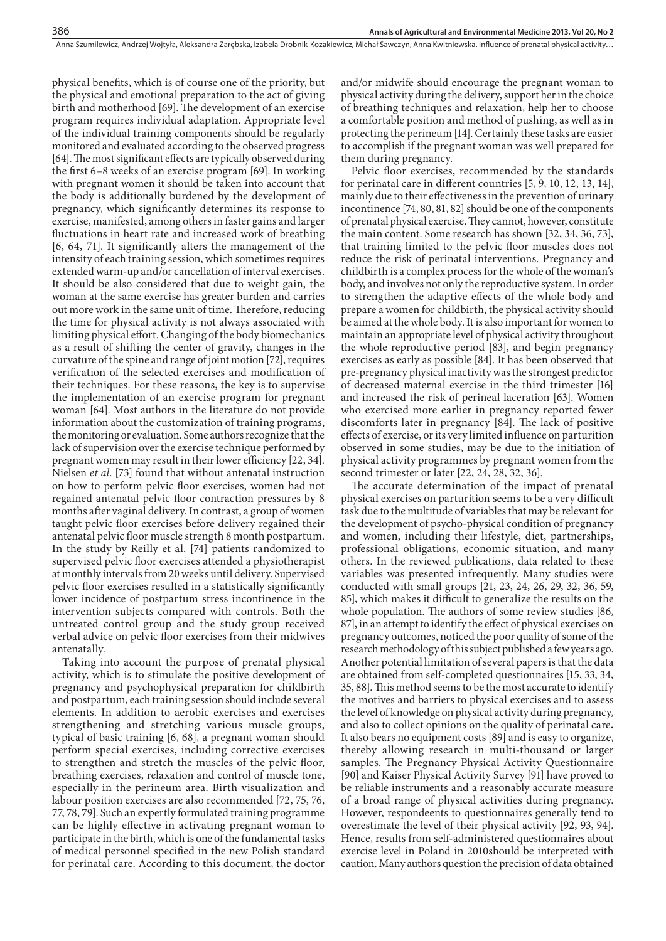physical benefits, which is of course one of the priority, but the physical and emotional preparation to the act of giving birth and motherhood [69]. The development of an exercise program requires individual adaptation. Appropriate level of the individual training components should be regularly monitored and evaluated according to the observed progress [64]. The most significant effects are typically observed during the first 6–8 weeks of an exercise program [69]. In working with pregnant women it should be taken into account that the body is additionally burdened by the development of pregnancy, which significantly determines its response to exercise, manifested, among others in faster gains and larger fluctuations in heart rate and increased work of breathing [6, 64, 71]. It significantly alters the management of the intensity of each training session, which sometimes requires extended warm-up and/or cancellation of interval exercises. It should be also considered that due to weight gain, the woman at the same exercise has greater burden and carries out more work in the same unit of time. Therefore, reducing the time for physical activity is not always associated with limiting physical effort. Changing of the body biomechanics as a result of shifting the center of gravity, changes in the curvature of the spine and range of joint motion [72], requires verification of the selected exercises and modification of their techniques. For these reasons, the key is to supervise the implementation of an exercise program for pregnant woman [64]. Most authors in the literature do not provide information about the customization of training programs, the monitoring or evaluation. Some authors recognize that the lack of supervision over the exercise technique performed by pregnant women may result in their lower efficiency [22, 34]. Nielsen *et al*. [73] found that without antenatal instruction on how to perform pelvic floor exercises, women had not regained antenatal pelvic floor contraction pressures by 8 months after vaginal delivery. In contrast, a group of women taught pelvic floor exercises before delivery regained their antenatal pelvic floor muscle strength 8 month postpartum. In the study by Reilly et al. [74] patients randomized to supervised pelvic floor exercises attended a physiotherapist at monthly intervals from 20 weeks until delivery. Supervised pelvic floor exercises resulted in a statistically significantly lower incidence of postpartum stress incontinence in the intervention subjects compared with controls. Both the untreated control group and the study group received verbal advice on pelvic floor exercises from their midwives antenatally.

Taking into account the purpose of prenatal physical activity, which is to stimulate the positive development of pregnancy and psychophysical preparation for childbirth and postpartum, each training session should include several elements. In addition to aerobic exercises and exercises strengthening and stretching various muscle groups, typical of basic training [6, 68], a pregnant woman should perform special exercises, including corrective exercises to strengthen and stretch the muscles of the pelvic floor, breathing exercises, relaxation and control of muscle tone, especially in the perineum area. Birth visualization and labour position exercises are also recommended [72, 75, 76, 77, 78, 79]. Such an expertly formulated training programme can be highly effective in activating pregnant woman to participate in the birth, which is one of the fundamental tasks of medical personnel specified in the new Polish standard for perinatal care. According to this document, the doctor

and/or midwife should encourage the pregnant woman to physical activity during the delivery, support her in the choice of breathing techniques and relaxation, help her to choose a comfortable position and method of pushing, as well as in protecting the perineum [14]. Certainly these tasks are easier to accomplish if the pregnant woman was well prepared for them during pregnancy.

Pelvic floor exercises, recommended by the standards for perinatal care in different countries [5, 9, 10, 12, 13, 14], mainly due to their effectiveness in the prevention of urinary incontinence [74, 80, 81, 82] should be one of the components of prenatal physical exercise. They cannot, however, constitute the main content. Some research has shown [32, 34, 36, 73], that training limited to the pelvic floor muscles does not reduce the risk of perinatal interventions. Pregnancy and childbirth is a complex process for the whole of the woman's body, and involves not only the reproductive system. In order to strengthen the adaptive effects of the whole body and prepare a women for childbirth, the physical activity should be aimed at the whole body. It is also important for women to maintain an appropriate level of physical activity throughout the whole reproductive period [83], and begin pregnancy exercises as early as possible [84]. It has been observed that pre-pregnancy physical inactivity was the strongest predictor of decreased maternal exercise in the third trimester [16] and increased the risk of perineal laceration [63]. Women who exercised more earlier in pregnancy reported fewer discomforts later in pregnancy [84]. The lack of positive effects of exercise, or its very limited influence on parturition observed in some studies, may be due to the initiation of physical activity programmes by pregnant women from the second trimester or later [22, 24, 28, 32, 36].

The accurate determination of the impact of prenatal physical exercises on parturition seems to be a very difficult task due to the multitude of variables that may be relevant for the development of psycho-physical condition of pregnancy and women, including their lifestyle, diet, partnerships, professional obligations, economic situation, and many others. In the reviewed publications, data related to these variables was presented infrequently. Many studies were conducted with small groups [21, 23, 24, 26, 29, 32, 36, 59, 85], which makes it difficult to generalize the results on the whole population. The authors of some review studies [86, 87], in an attempt to identify the effect of physical exercises on pregnancy outcomes, noticed the poor quality of some of the research methodology of this subject published a few years ago. Another potential limitation of several papers is that the data are obtained from self-completed questionnaires [15, 33, 34, 35, 88]. This method seems to be the most accurate to identify the motives and barriers to physical exercises and to assess the level of knowledge on physical activity during pregnancy, and also to collect opinions on the quality of perinatal care**.**  It also bears no equipment costs [89] and is easy to organize, thereby allowing research in multi-thousand or larger samples. The Pregnancy Physical Activity Questionnaire [90] and Kaiser Physical Activity Survey [91] have proved to be reliable instruments and a reasonably accurate measure of a broad range of physical activities during pregnancy. However, respondeents to questionnaires generally tend to overestimate the level of their physical activity [92, 93, 94]. Hence, results from self-administered questionnaires about exercise level in Poland in 2010should be interpreted with caution. Many authors question the precision of data obtained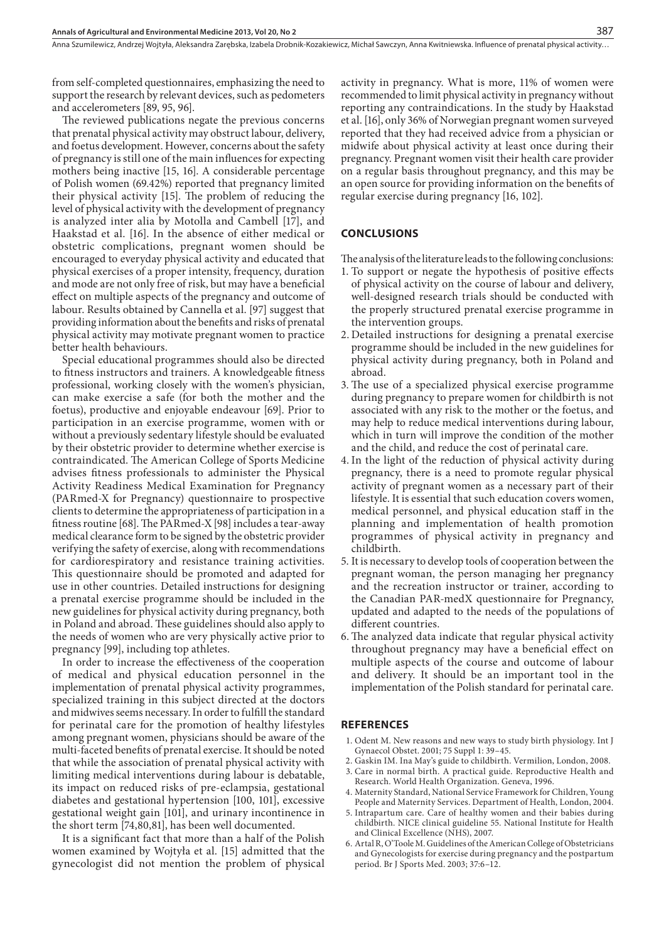from self-completed questionnaires, emphasizing the need to support the research by relevant devices, such as pedometers and accelerometers [89, 95, 96].

The reviewed publications negate the previous concerns that prenatal physical activity may obstruct labour, delivery, and foetus development. However, concerns about the safety of pregnancy is still one of the main influences for expecting mothers being inactive [15, 16]. A considerable percentage of Polish women (69.42%) reported that pregnancy limited their physical activity [15]. The problem of reducing the level of physical activity with the development of pregnancy is analyzed inter alia by Motolla and Cambell [17], and Haakstad et al. [16]. In the absence of either medical or obstetric complications, pregnant women should be encouraged to everyday physical activity and educated that physical exercises of a proper intensity, frequency, duration and mode are not only free of risk, but may have a beneficial effect on multiple aspects of the pregnancy and outcome of labour. Results obtained by Cannella et al. [97] suggest that providing information about the benefits and risks of prenatal physical activity may motivate pregnant women to practice better health behaviours.

Special educational programmes should also be directed to fitness instructors and trainers. A knowledgeable fitness professional, working closely with the women's physician, can make exercise a safe (for both the mother and the foetus), productive and enjoyable endeavour [69]. Prior to participation in an exercise programme, women with or without a previously sedentary lifestyle should be evaluated by their obstetric provider to determine whether exercise is contraindicated. The American College of Sports Medicine advises fitness professionals to administer the Physical Activity Readiness Medical Examination for Pregnancy (PARmed-X for Pregnancy) questionnaire to prospective clients to determine the appropriateness of participation in a fitness routine [68]. The PARmed-X [98] includes a tear-away medical clearance form to be signed by the obstetric provider verifying the safety of exercise, along with recommendations for cardiorespiratory and resistance training activities. This questionnaire should be promoted and adapted for use in other countries. Detailed instructions for designing a prenatal exercise programme should be included in the new guidelines for physical activity during pregnancy, both in Poland and abroad. These guidelines should also apply to the needs of women who are very physically active prior to pregnancy [99], including top athletes.

In order to increase the effectiveness of the cooperation of medical and physical education personnel in the implementation of prenatal physical activity programmes, specialized training in this subject directed at the doctors and midwives seems necessary. In order to fulfill the standard for perinatal care for the promotion of healthy lifestyles among pregnant women, physicians should be aware of the multi-faceted benefits of prenatal exercise. It should be noted that while the association of prenatal physical activity with limiting medical interventions during labour is debatable, its impact on reduced risks of pre-eclampsia, gestational diabetes and gestational hypertension [100, 101], excessive gestational weight gain [101], and urinary incontinence in the short term [74,80,81], has been well documented.

It is a significant fact that more than a half of the Polish women examined by Wojtyła et al. [15] admitted that the gynecologist did not mention the problem of physical activity in pregnancy. What is more, 11% of women were recommended to limit physical activity in pregnancy without reporting any contraindications. In the study by Haakstad et al. [16], only 36% of Norwegian pregnant women surveyed reported that they had received advice from a physician or midwife about physical activity at least once during their pregnancy. Pregnant women visit their health care provider on a regular basis throughout pregnancy, and this may be an open source for providing information on the benefits of regular exercise during pregnancy [16, 102].

## **CONCLUSIONS**

The analysis of the literature leads to the following conclusions:

- 1. To support or negate the hypothesis of positive effects of physical activity on the course of labour and delivery, well-designed research trials should be conducted with the properly structured prenatal exercise programme in the intervention groups.
- 2. Detailed instructions for designing a prenatal exercise programme should be included in the new guidelines for physical activity during pregnancy, both in Poland and abroad.
- 3. The use of a specialized physical exercise programme during pregnancy to prepare women for childbirth is not associated with any risk to the mother or the foetus, and may help to reduce medical interventions during labour, which in turn will improve the condition of the mother and the child, and reduce the cost of perinatal care.
- 4. In the light of the reduction of physical activity during pregnancy, there is a need to promote regular physical activity of pregnant women as a necessary part of their lifestyle. It is essential that such education covers women, medical personnel, and physical education staff in the planning and implementation of health promotion programmes of physical activity in pregnancy and childbirth.
- 5. It is necessary to develop tools of cooperation between the pregnant woman, the person managing her pregnancy and the recreation instructor or trainer, according to the Canadian PAR-medX questionnaire for Pregnancy, updated and adapted to the needs of the populations of different countries.
- 6. The analyzed data indicate that regular physical activity throughout pregnancy may have a beneficial effect on multiple aspects of the course and outcome of labour and delivery. It should be an important tool in the implementation of the Polish standard for perinatal care.

#### **REFERENCES**

- 1. Odent M. New reasons and new ways to study birth physiology. Int J Gynaecol Obstet. 2001; 75 Suppl 1: 39–45.
- 2. Gaskin IM. Ina May's guide to childbirth. Vermilion, London, 2008.
- 3. Care in normal birth. A practical guide. Reproductive Health and Research. World Health Organization. Geneva, 1996.
- 4. Maternity Standard, National Service Framework for Children, Young People and Maternity Services. Department of Health, London, 2004.
- 5. Intrapartum care. Care of healthy women and their babies during childbirth. NICE clinical guideline 55. National Institute for Health and Clinical Excellence (NHS), 2007.
- 6. Artal R, O'Toole M. Guidelines of the American College of Obstetricians and Gynecologists for exercise during pregnancy and the postpartum period. Br J Sports Med. 2003; 37:6–12.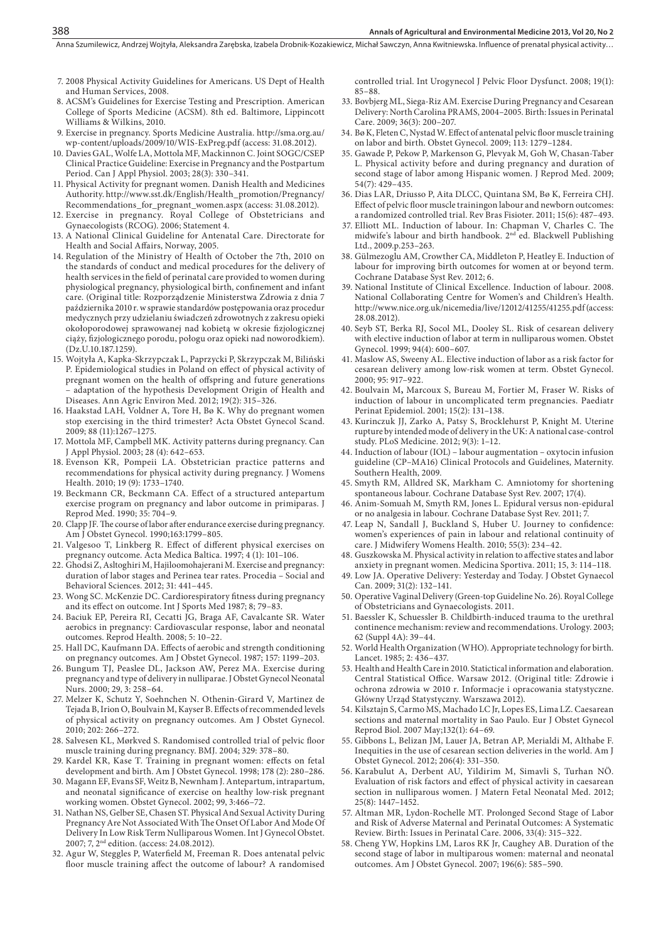Anna Szumilewicz, Andrzej Wojtyła, Aleksandra Zarębska, Izabela Drobnik-Kozakiewicz, Michał Sawczyn, Anna Kwitniewska . Influence of prenatal physical activity…

- 7. 2008 Physical Activity Guidelines for Americans. US Dept of Health and Human Services, 2008.
- 8. ACSM's Guidelines for Exercise Testing and Prescription. American College of Sports Medicine (ACSM). 8th ed. Baltimore, Lippincott Williams & Wilkins, 2010.
- 9. Exercise in pregnancy. Sports Medicine Australia. http://sma.org.au/ wp-content/uploads/2009/10/WIS-ExPreg.pdf (access: 31.08.2012).
- 10. Davies GAL, Wolfe LA, Mottola MF, Mackinnon C. Joint SOGC/CSEP Clinical Practice Guideline: Exercise in Pregnancy and the Postpartum Period. Can J Appl Physiol. 2003; 28(3): 330–341.
- 11. Physical Activity for pregnant women. Danish Health and Medicines Authority. http://www.sst.dk/English/Health\_promotion/Pregnancy/ Recommendations\_for\_pregnant\_women.aspx (access: 31.08.2012).
- 12. Exercise in pregnancy. Royal College of Obstetricians and Gynaecologists (RCOG). 2006; Statement 4.
- 13. A National Clinical Guideline for Antenatal Care. Directorate for Health and Social Affairs, Norway, 2005.
- 14. Regulation of the Ministry of Health of October the 7th, 2010 on the standards of conduct and medical procedures for the delivery of health services in the field of perinatal care provided to women during physiological pregnancy, physiological birth, confinement and infant care. (Original title: Rozporządzenie Ministerstwa Zdrowia z dnia 7 października 2010 r. w sprawie standardów postępowania oraz procedur medycznych przy udzielaniu świadczeń zdrowotnych z zakresu opieki okołoporodowej sprawowanej nad kobietą w okresie fizjologicznej ciąży, fizjologicznego porodu, połogu oraz opieki nad noworodkiem). (Dz.U.10.187.1259).
- 15. Wojtyła A, Kapka-Skrzypczak L, Paprzycki P, Skrzypczak M, Biliński P. Epidemiological studies in Poland on effect of physical activity of pregnant women on the health of offspring and future generations – adaptation of the hypothesis Development Origin of Health and Diseases. Ann Agric Environ Med. 2012; 19(2): 315–326.
- 16. Haakstad LAH*,* Voldner A, Tore H, Bø K. Why do pregnant women stop exercising in the third trimester? Acta Obstet Gynecol Scand. 2009; 88 (11):1267–1275.
- 17. Mottola MF, Campbell MK. Activity patterns during pregnancy. Can J Appl Physiol. 2003; 28 (4): 642–653.
- 18. Evenson KR, Pompeii LA. Obstetrician practice patterns and recommendations for physical activity during pregnancy. J Womens Health. 2010; 19 (9): 1733–1740.
- 19. Beckmann CR, Beckmann CA. Effect of a structured antepartum exercise program on pregnancy and labor outcome in primiparas. J Reprod Med. 1990; 35: 704–9.
- 20. Clapp JF. The course of labor after endurance exercise during pregnancy. Am J Obstet Gynecol. 1990;163:1799–805.
- 21. Valgesoo T, Linkberg R. Effect of different physical exercises on pregnancy outcome. Acta Medica Baltica. 1997; 4 (1): 101–106.
- 22. Ghodsi Z, Asltoghiri M, Hajiloomohajerani M. Exercise and pregnancy: duration of labor stages and Perinea tear rates. Procedia – Social and Behavioral Sciences. 2012; 31: 441–445.
- 23. Wong SC. McKenzie DC. Cardiorespiratory fitness during pregnancy and its effect on outcome. Int J Sports Med 1987; 8; 79–83.
- 24. Baciuk EP, Pereira RI, Cecatti JG, Braga AF, Cavalcante SR. Water aerobics in pregnancy: Cardiovascular response, labor and neonatal outcomes. Reprod Health. 2008; 5: 10–22.
- 25. Hall DC, Kaufmann DA. Effects of aerobic and strength conditioning on pregnancy outcomes. Am J Obstet Gynecol. 1987; 157: 1199–203.
- 26. Bungum TJ, Peaslee DL, Jackson AW, Perez MA. Exercise during pregnancy and type of delivery in nulliparae. J Obstet Gynecol Neonatal Nurs. 2000; 29, 3: 258–64.
- 27. Melzer K, Schutz Y, Soehnchen N. Othenin-Girard V, Martinez de Tejada B, Irion O, Boulvain M, Kayser B. Effects of recommended levels of physical activity on pregnancy outcomes. Am J Obstet Gynecol. 2010; 202: 266–272.
- 28. Salvesen KL, Mørkved S. Randomised controlled trial of pelvic floor muscle training during pregnancy. BMJ. 2004; 329: 378–80.
- 29. Kardel KR, Kase T. Training in pregnant women: effects on fetal development and birth. Am J Obstet Gynecol. 1998; 178 (2): 280–286.
- 30. Magann EF, Evans SF, Weitz B, Newnham J. Antepartum, intrapartum, and neonatal significance of exercise on healthy low-risk pregnant working women. Obstet Gynecol. 2002; 99, 3:466–72.
- 31. Nathan NS, Gelber SE, Chasen ST. Physical And Sexual Activity During Pregnancy Are Not Associated With The Onset Of Labor And Mode Of Delivery In Low Risk Term Nulliparous Women. Int J Gynecol Obstet. 2007; 7, 2nd edition. (access: 24.08.2012).
- 32. Agur W, Steggles P, Waterfield M, Freeman R. Does antenatal pelvic floor muscle training affect the outcome of labour? A randomised

controlled trial. Int Urogynecol J Pelvic Floor Dysfunct. 2008; 19(1): 85–88.

- 33. Bovbjerg ML, Siega-Riz AM. Exercise During Pregnancy and Cesarean Delivery: North Carolina PRAMS, 2004–2005. Birth: Issues in Perinatal Care. 2009; 36(3): 200–207.
- 34. Bø K, Fleten C, Nystad W. Effect of antenatal pelvic floor muscle training on labor and birth. Obstet Gynecol. 2009; 113: 1279–1284.
- 35. Gawade P, Pekow P, Markenson G, Plevyak M, Goh W, Chasan-Taber L. Physical activity before and during pregnancy and duration of second stage of labor among Hispanic women. J Reprod Med. 2009; 54(7): 429–435.
- 36. Dias LAR, Driusso P, Aita DLCC, Quintana SM, Bø K, Ferreira CHJ. Effect of pelvic floor muscle trainingon labour and newborn outcomes: a randomized controlled trial. Rev Bras Fisioter. 2011; 15(6): 487–493.
- 37. Elliott ML. Induction of labour. In: Chapman V, Charles C. The midwife's labour and birth handbook. 2<sup>nd</sup> ed. Blackwell Publishing Ltd., 2009.p.253–263.
- 38. Gülmezoglu AM, Crowther CA, Middleton P, Heatley E. Induction of labour for improving birth outcomes for women at or beyond term. Cochrane Database Syst Rev. 2012; 6.
- 39. National Institute of Clinical Excellence. Induction of labour. 2008. National Collaborating Centre for Women's and Children's Health. http://www.nice.org.uk/nicemedia/live/12012/41255/41255.pdf (access: 28.08.2012).
- 40. Seyb ST, Berka RJ, Socol ML, Dooley SL. Risk of cesarean delivery with elective induction of labor at term in nulliparous women. Obstet Gynecol. 1999; 94(4): 600–607.
- 41. Maslow AS, Sweeny AL. Elective induction of labor as a risk factor for cesarean delivery among low-risk women at term. Obstet Gynecol. 2000; 95: 917–922.
- 42. Boulvain M**,** Marcoux S, Bureau M, Fortier M, Fraser W. Risks of induction of labour in uncomplicated term pregnancies. Paediatr Perinat Epidemiol. 2001; 15(2): 131–138.
- 43. Kurinczuk JJ, Zarko A, Patsy S, Brocklehurst P, Knight M. Uterine rupture by intended mode of delivery in the UK: A national case-control study. PLoS Medicine. 2012; 9(3): 1–12.
- 44. Induction of labour (IOL) labour augmentation oxytocin infusion guideline (CP–MA16) Clinical Protocols and Guidelines, Maternity. Southern Health, 2009.
- 45. Smyth RM, Alldred SK, Markham C. Amniotomy for shortening spontaneous labour. Cochrane Database Syst Rev. 2007; 17(4).
- 46. Anim-Somuah M, Smyth RM, Jones L. Epidural versus non-epidural or no analgesia in labour. Cochrane Database Syst Rev. 2011; 7.
- 47. Leap N, Sandall J, Buckland S, Huber U. Journey to confidence: women's experiences of pain in labour and relational continuity of care. J Midwifery Womens Health. 2010; 55(3): 234–42.
- 48. Guszkowska M. Physical activity in relation to affective states and labor anxiety in pregnant women. Medicina Sportiva. 2011; 15, 3: 114–118.
- 49. Low JA. Operative Delivery: Yesterday and Today. J Obstet Gynaecol Can. 2009; 31(2): 132–141.
- 50. Operative Vaginal Delivery (Green-top Guideline No. 26). Royal College of Obstetricians and Gynaecologists. 2011.
- 51. Baessler K, Schuessler B. Childbirth-induced trauma to the urethral continence mechanism: review and recommendations. Urology. 2003; 62 (Suppl 4A): 39–44.
- 52. World Health Organization (WHO). Appropriate technology for birth. Lancet. 1985; 2: 436–437.
- 53. Health and Health Care in 2010. Statictical information and elaboration. Central Statistical Office. Warsaw 2012. (Original title: Zdrowie i ochrona zdrowia w 2010 r. Informacje i opracowania statystyczne. Główny Urząd Statystyczny. Warszawa 2012).
- 54. Kilsztajn S, Carmo MS, Machado LC Jr, Lopes ES, Lima LZ. Caesarean sections and maternal mortality in Sao Paulo. Eur J Obstet Gynecol Reprod Biol. 2007 May;132(1): 64–69.
- 55. Gibbons L, Belizan JM, Lauer JA, Betran AP, Merialdi M, Althabe F. Inequities in the use of cesarean section deliveries in the world. Am J Obstet Gynecol. 2012; 206(4): 331–350.
- 56. Karabulut A, Derbent AU, Yildirim M, Simavli S, Turhan NÖ. Evaluation of risk factors and effect of physical activity in caesarean section in nulliparous women. J Matern Fetal Neonatal Med. 2012; 25(8): 1447–1452.
- 57. Altman MR, Lydon-Rochelle MT. Prolonged Second Stage of Labor and Risk of Adverse Maternal and Perinatal Outcomes: A Systematic Review. Birth: Issues in Perinatal Care. 2006, 33(4): 315–322.
- 58. Cheng YW, Hopkins LM, Laros RK Jr, Caughey AB. Duration of the second stage of labor in multiparous women: maternal and neonatal outcomes. Am J Obstet Gynecol. 2007; 196(6): 585–590.